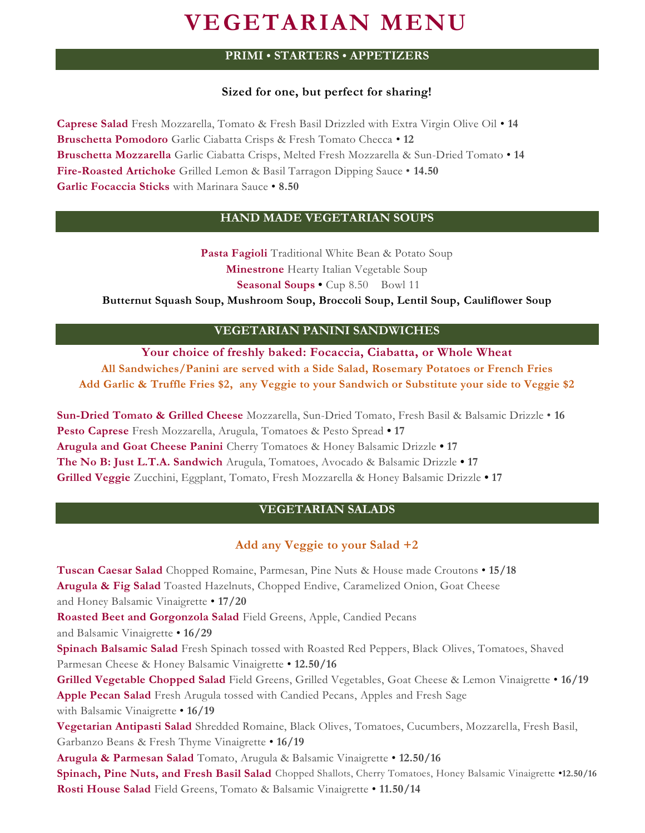# **VEGETARIAN MENU**

# **PRIMI • STARTERS • APPETIZERS**

## **Sized for one, but perfect for sharing!**

**Caprese Salad** Fresh Mozzarella, Tomato & Fresh Basil Drizzled with Extra Virgin Olive Oil • **14 Bruschetta Pomodoro** Garlic Ciabatta Crisps & Fresh Tomato Checca • **12 Bruschetta Mozzarella** Garlic Ciabatta Crisps, Melted Fresh Mozzarella & Sun-Dried Tomato • **14 Fire-Roasted Artichoke** Grilled Lemon & Basil Tarragon Dipping Sauce • **14.50 Garlic Focaccia Sticks** with Marinara Sauce • **8.50**

## **HAND MADE VEGETARIAN SOUPS**

**Pasta Fagioli** Traditional White Bean & Potato Soup **Minestrone** Hearty Italian Vegetable Soup **Seasonal Soups •** Cup 8.50 Bowl 11

**Butternut Squash Soup, Mushroom Soup, Broccoli Soup, Lentil Soup, Cauliflower Soup**

## **VEGETARIAN PANINI SANDWICHES**

**Your choice of freshly baked: Focaccia, Ciabatta, or Whole Wheat All Sandwiches/Panini are served with a Side Salad, Rosemary Potatoes or French Fries Add Garlic & Truffle Fries \$2, any Veggie to your Sandwich or Substitute your side to Veggie \$2**

**Sun-Dried Tomato & Grilled Cheese** Mozzarella, Sun-Dried Tomato, Fresh Basil & Balsamic Drizzle • **16 Pesto Caprese** Fresh Mozzarella, Arugula, Tomatoes & Pesto Spread **• 17 Arugula and Goat Cheese Panini** Cherry Tomatoes & Honey Balsamic Drizzle **• 17 The No B: Just L.T.A. Sandwich** Arugula, Tomatoes, Avocado & Balsamic Drizzle **• 17 Grilled Veggie** Zucchini, Eggplant, Tomato, Fresh Mozzarella & Honey Balsamic Drizzle **• 17**

# **VEGETARIAN SALADS**

## **Add any Veggie to your Salad +2**

**Tuscan Caesar Salad** Chopped Romaine, Parmesan, Pine Nuts & House made Croutons • **15/18 Arugula & Fig Salad** Toasted Hazelnuts, Chopped Endive, Caramelized Onion, Goat Cheese and Honey Balsamic Vinaigrette • **17/20 Roasted Beet and Gorgonzola Salad** Field Greens, Apple, Candied Pecans and Balsamic Vinaigrette • **16/29 Spinach Balsamic Salad** Fresh Spinach tossed with Roasted Red Peppers, Black Olives, Tomatoes, Shaved Parmesan Cheese & Honey Balsamic Vinaigrette • **12.50/16 Grilled Vegetable Chopped Salad** Field Greens, Grilled Vegetables, Goat Cheese & Lemon Vinaigrette • **16/19 Apple Pecan Salad** Fresh Arugula tossed with Candied Pecans, Apples and Fresh Sage with Balsamic Vinaigrette • **16/19 Vegetarian Antipasti Salad** Shredded Romaine, Black Olives, Tomatoes, Cucumbers, Mozzarella, Fresh Basil, Garbanzo Beans & Fresh Thyme Vinaigrette • **16/19 Arugula & Parmesan Salad** Tomato, Arugula & Balsamic Vinaigrette • **12.50/16 Spinach, Pine Nuts, and Fresh Basil Salad** Chopped Shallots, Cherry Tomatoes, Honey Balsamic Vinaigrette •**12.50/16 Rosti House Salad** Field Greens, Tomato & Balsamic Vinaigrette • **11.50/14**